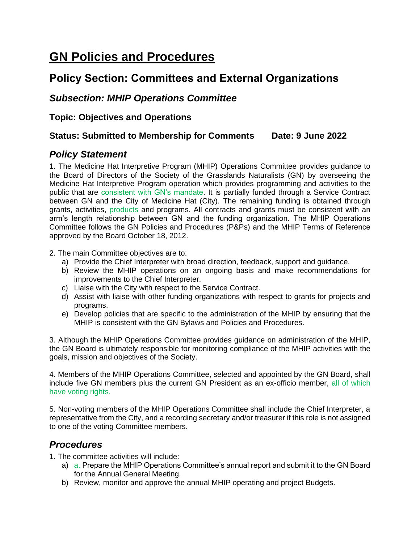# **GN Policies and Procedures**

## **Policy Section: Committees and External Organizations**

## *Subsection: MHIP Operations Committee*

**Topic: Objectives and Operations**

#### **Status: Submitted to Membership for Comments Date: 9 June 2022**

## *Policy Statement*

1. The Medicine Hat Interpretive Program (MHIP) Operations Committee provides guidance to the Board of Directors of the Society of the Grasslands Naturalists (GN) by overseeing the Medicine Hat Interpretive Program operation which provides programming and activities to the public that are consistent with GN's mandate. It is partially funded through a Service Contract between GN and the City of Medicine Hat (City). The remaining funding is obtained through grants, activities, products and programs. All contracts and grants must be consistent with an arm's length relationship between GN and the funding organization. The MHIP Operations Committee follows the GN Policies and Procedures (P&Ps) and the MHIP Terms of Reference approved by the Board October 18, 2012.

2. The main Committee objectives are to:

- a) Provide the Chief Interpreter with broad direction, feedback, support and guidance.
- b) Review the MHIP operations on an ongoing basis and make recommendations for improvements to the Chief Interpreter.
- c) Liaise with the City with respect to the Service Contract.
- d) Assist with liaise with other funding organizations with respect to grants for projects and programs.
- e) Develop policies that are specific to the administration of the MHIP by ensuring that the MHIP is consistent with the GN Bylaws and Policies and Procedures.

3. Although the MHIP Operations Committee provides guidance on administration of the MHIP, the GN Board is ultimately responsible for monitoring compliance of the MHIP activities with the goals, mission and objectives of the Society.

4. Members of the MHIP Operations Committee, selected and appointed by the GN Board, shall include five GN members plus the current GN President as an ex-officio member, all of which have voting rights.

5. Non-voting members of the MHIP Operations Committee shall include the Chief Interpreter, a representative from the City, and a recording secretary and/or treasurer if this role is not assigned to one of the voting Committee members.

## *Procedures*

1. The committee activities will include:

- a) a. Prepare the MHIP Operations Committee's annual report and submit it to the GN Board for the Annual General Meeting.
- b) Review, monitor and approve the annual MHIP operating and project Budgets.